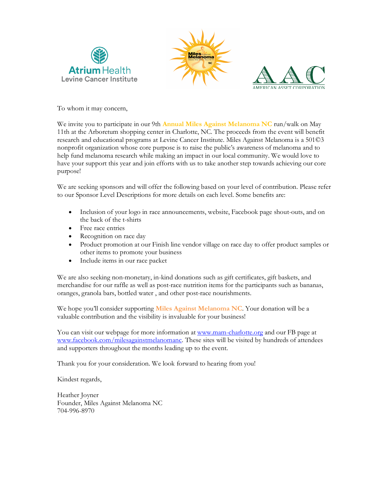





To whom it may concern,

We invite you to participate in our 9th **Annual Miles Against Melanoma NC** run/walk on May 11th at the Arboretum shopping center in Charlotte, NC. The proceeds from the event will benefit research and educational programs at Levine Cancer Institute. Miles Against Melanoma is a 501©3 nonprofit organization whose core purpose is to raise the public's awareness of melanoma and to help fund melanoma research while making an impact in our local community. We would love to have your support this year and join efforts with us to take another step towards achieving our core purpose!

We are seeking sponsors and will offer the following based on your level of contribution. Please refer to our Sponsor Level Descriptions for more details on each level. Some benefits are:

- Inclusion of your logo in race announcements, website, Facebook page shout-outs, and on the back of the t-shirts
- Free race entries
- Recognition on race day
- Product promotion at our Finish line vendor village on race day to offer product samples or other items to promote your business
- Include items in our race packet

We are also seeking non-monetary, in-kind donations such as gift certificates, gift baskets, and merchandise for our raffle as well as post-race nutrition items for the participants such as bananas, oranges, granola bars, bottled water , and other post-race nourishments.

We hope you'll consider supporting **Miles Against Melanoma NC**. Your donation will be a valuable contribution and the visibility is invaluable for your business!

You can visit our webpage for more information at www.mam-charlotte.org and our FB page at www.facebook.com/milesagainstmelanomanc. These sites will be visited by hundreds of attendees and supporters throughout the months leading up to the event.

Thank you for your consideration. We look forward to hearing from you!

Kindest regards,

Heather Joyner Founder, Miles Against Melanoma NC 704-996-8970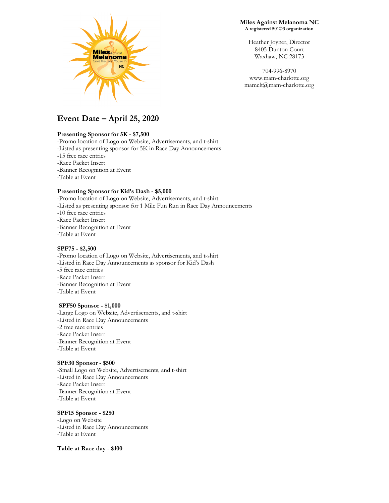

**Miles Against Melanoma NC A registered 501©3 organization**

> Heather Joyner, Director 8405 Dunton Court Waxhaw, NC 28173

704-996-8970 www.mam-charlotte.org mamclt@mam-charlotte.org

# **Event Date – April 25, 2020**

#### **Presenting Sponsor for 5K - \$7,500**

-Promo location of Logo on Website, Advertisements, and t-shirt -Listed as presenting sponsor for 5K in Race Day Announcements -15 free race entries -Race Packet Insert -Banner Recognition at Event -Table at Event

#### **Presenting Sponsor for Kid's Dash - \$5,000**

-Promo location of Logo on Website, Advertisements, and t-shirt -Listed as presenting sponsor for 1 Mile Fun Run in Race Day Announcements -10 free race entries -Race Packet Insert -Banner Recognition at Event -Table at Event

### **SPF75 - \$2,500**

-Promo location of Logo on Website, Advertisements, and t-shirt -Listed in Race Day Announcements as sponsor for Kid's Dash -5 free race entries -Race Packet Insert -Banner Recognition at Event -Table at Event

#### **SPF50 Sponsor - \$1,000**

-Large Logo on Website, Advertisements, and t-shirt -Listed in Race Day Announcements -2 free race entries -Race Packet Insert -Banner Recognition at Event -Table at Event

#### **SPF30 Sponsor - \$500**

-Small Logo on Website, Advertisements, and t-shirt -Listed in Race Day Announcements -Race Packet Insert -Banner Recognition at Event -Table at Event

#### **SPF15 Sponsor - \$250**

-Logo on Website -Listed in Race Day Announcements -Table at Event

**Table at Race day - \$100**